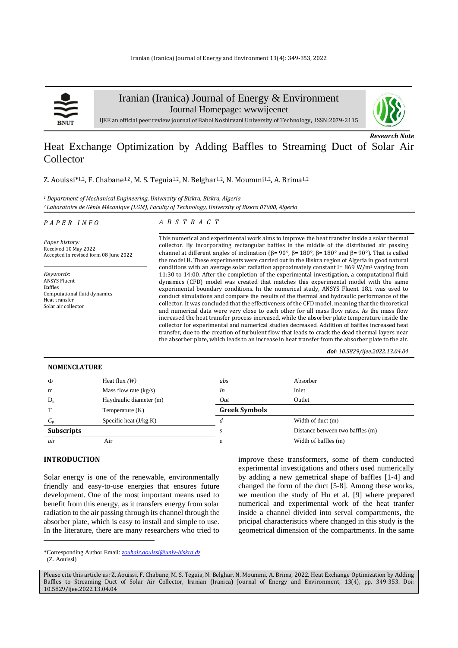

Iranian (Iranica) Journal of Energy & Environment

Journal Homepage: [wwwijeenet](http://www.ijee.net/)



*Research Note*

IJEE an official peer review journal of Babol Noshirvani University of Technology, ISSN:2079-2115

# Heat Exchange Optimization by Adding Baffles to Streaming Duct of Solar Air Collector

Z. Aouissi<sup>\*1,2</sup>, F. Chabane<sup>1.2</sup>, M. S. Teguia<sup>1.2</sup>, N. Belghar<sup>1.2</sup>, N. Moummi<sup>1,2</sup>, A. Brima<sup>1,2</sup>

*<sup>1</sup> Department of Mechanical Engineering, University of Biskra, Biskra, Algeria <sup>2</sup>Laboratoire de Génie Mécanique (LGM), Faculty of Technology, University of Biskra 07000, Algeria*

#### *P A P E R I N F O*

# *A B S T R A C T*

*Paper history:* Received 10 May 2022 Accepted in revised form 08 June 2022

*Keywords*: ANSYS Fluent Baffles Computational fluid dynamics Heat transfer Solar air collector

This numerical and experimental work aims to improve the heat transfer inside a solar thermal collector. By incorporating rectangular baffles in the middle of the distributed air passing channel at different angles of inclination ( $\beta$ = 90°,  $\beta$ = 180°,  $\beta$ = 180° and  $\beta$ = 90°). That is called the model H. These experiments were carried out in the Biskra region of Algeria in good natural conditions with an average solar radiation approximately constant I= 869 W/m<sup>2</sup> varying from 11:30 to 14:00. After the completion of the experimental investigation, a computational fluid dynamics (CFD) model was created that matches this experimental model with the same experimental boundary conditions. In the numerical study, ANSYS Fluent 18.1 was used to conduct simulations and compare the results of the thermal and hydraulic performance of the collector. It was concluded that the effectiveness of the CFD model, meaning that the theoretical and numerical data were very close to each other for all mass flow rates. As the mass flow increased the heat transfer process increased, while the absorber plate temperature inside the collector for experimental and numerical studies decreased. Addition of baffles increased heat transfer, due to the creation of turbulent flow that leads to crack the dead thermal layers near the absorber plate, which leads to an increase in heat transfer from the absorber plate to the air.

*doi: 10.5829/ijee.2022.13.04.04*

## **NOMENCLATURE**

| Φ                 | Heat flux $(W)$          | abs                  | Absorber                         |
|-------------------|--------------------------|----------------------|----------------------------------|
| m                 | Mass flow rate $(kg/s)$  | In                   | Inlet                            |
| D <sub>h</sub>    | Haydraulic diameter (m)  | Out                  | Outlet                           |
|                   | Temperature $(K)$        | <b>Greek Symbols</b> |                                  |
| $C_{p}$           | Specific heat $(J/kg.K)$ |                      | Width of duct (m)                |
| <b>Subscripts</b> |                          |                      | Distance between two baffles (m) |
| air               | Air                      | e                    | Width of baffles (m)             |

## **INTRODUCTION<sup>1</sup>**

Solar energy is one of the renewable, environmentally friendly and easy-to-use energies that ensures future development. One of the most important means used to benefit from this energy, as it transfers energy from solar radiation to the air passing through its channel through the absorber plate, which is easy to install and simple to use. In the literature, there are many researchers who tried to improve these transformers, some of them conducted experimental investigations and others used numerically by adding a new gemetrical shape of baffles [\[1-4\]](#page-3-0) and changed the form of the duct [\[5-8\]](#page-4-0). Among these works, we mention the study of Hu et al. [\[9\]](#page-4-1) where prepared numerical and experimental work of the heat tranfer inside a channel divided into serval compartments, the pricipal characteristics where changed in this study is the geometrical dimension of the compartments. In the same

<sup>\*</sup>Corresponding Author Email: *zouhair.aouissi@univ-biskra.dz*  (Z. Aouissi)

Please cite this article as: Z. Aouissi, F. Chabane, M. S. Teguia, N. Belghar, N. Moummi, A. Brima, 2022. Heat Exchange Optimization by Adding Baffles to Streaming Duct of Solar Air Collector, Iranian (Iranica) Journal of Energy and Environment, 13(4), pp. 349-353. Doi: 10.5829/ijee.2022.13.04.04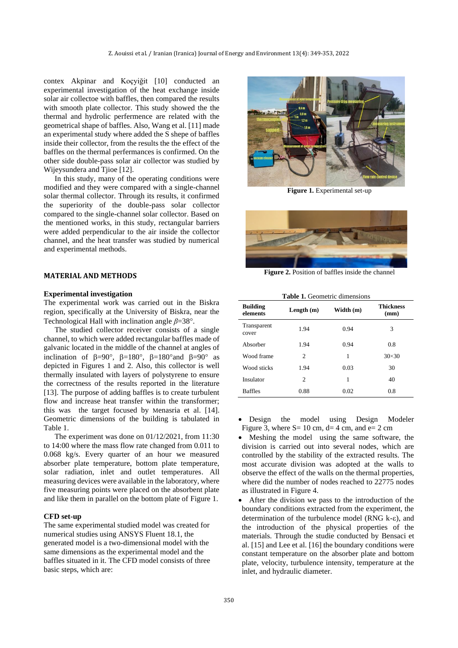contex Akpinar and Koçyiğit [\[10\]](#page-4-2) conducted an experimental investigation of the heat exchange inside solar air collectoe with baffles, then compared the results with smooth plate collector. This study showed the the thermal and hydrolic perfermence are related with the geometrical shape of baffles. Also, Wang et al. [\[11\]](#page-4-3) made an experimental study where added the S shepe of baffles inside their collector, from the results the the effect of the baffles on the thermal perfermances is confirmed. On the other side double-pass solar air collector was studied by Wijeysundera and Tjioe [\[12\]](#page-4-4).

In this study, many of the operating conditions were modified and they were compared with a single-channel solar thermal collector. Through its results, it confirmed the superiority of the double-pass solar collector compared to the single-channel solar collector. Based on the mentioned works, in this study, rectangular barriers were added perpendicular to the air inside the collector channel, and the heat transfer was studied by numerical and experimental methods.

## **MATERIAL AND METHODS**

#### **Experimental investigation**

The experimental work was carried out in the Biskra region, specifically at the University of Biskra, near the Technological Hall with inclination angle *β*=38.

The studied collector receiver consists of a single channel, to which were added rectangular baffles made of galvanic located in the middle of the channel at angles of inclination of  $\beta = 90^\circ$ ,  $\beta = 180^\circ$ ,  $\beta = 180^\circ$  and  $\beta = 90^\circ$  as depicted in Figures 1 and 2. Also, this collector is well thermally insulated with layers of polystyrene to ensure the correctness of the results reported in the literature [\[13\]](#page-4-5). The purpose of adding baffles is to create turbulent flow and increase heat transfer within the transformer; this was the target focused by Menasria et al. [\[14\]](#page-4-6). Geometric dimensions of the building is tabulated in Table 1.

The experiment was done on 01/12/2021, from 11:30 to 14:00 where the mass flow rate changed from 0.011 to 0.068 kg/s. Every quarter of an hour we measured absorber plate temperature, bottom plate temperature, solar radiation, inlet and outlet temperatures. All measuring devices were available in the laboratory, where five measuring points were placed on the absorbent plate and like them in parallel on the bottom plate of Figure 1.

## **CFD set-up**

The same experimental studied model was created for numerical studies using ANSYS Fluent 18.1, the generated model is a two-dimensional model with the same dimensions as the experimental model and the baffles situated in it. The CFD model consists of three basic steps, which are:



**Figure 1.** Experimental set-up



**Figure 2.** Position of baffles inside the channel

| <b>Table 1.</b> Geometric dimensions |  |  |  |  |
|--------------------------------------|--|--|--|--|
|--------------------------------------|--|--|--|--|

| <b>Building</b><br>elements | Length $(m)$ | Width (m) | <b>Thickness</b><br>(mm) |
|-----------------------------|--------------|-----------|--------------------------|
| Transparent<br>cover        | 1.94         | 0.94      | 3                        |
| Absorber                    | 1.94         | 0.94      | 0.8                      |
| Wood frame                  | 2            | 1         | $30 \times 30$           |
| Wood sticks                 | 1.94         | 0.03      | 30                       |
| Insulator                   | 2            | 1         | 40                       |
| <b>Baffles</b>              | 0.88         | 0.02      | 0.8                      |

- Design the model using Design Modeler Figure 3, where  $S = 10$  cm,  $d = 4$  cm, and  $e = 2$  cm
- Meshing the model using the same software, the division is carried out into several nodes, which are controlled by the stability of the extracted results. The most accurate division was adopted at the walls to observe the effect of the walls on the thermal properties, where did the number of nodes reached to 22775 nodes as illustrated in Figure 4.
- After the division we pass to the introduction of the boundary conditions extracted from the experiment, the determination of the turbulence model (RNG k- $\varepsilon$ ), and the introduction of the physical properties of the materials. Through the studie conducted by Bensaci et al. [\[15\]](#page-4-7) and Lee et al. [\[16\]](#page-4-8) the boundary conditions were constant temperature on the absorber plate and bottom plate, velocity, turbulence intensity, temperature at the inlet, and hydraulic diameter.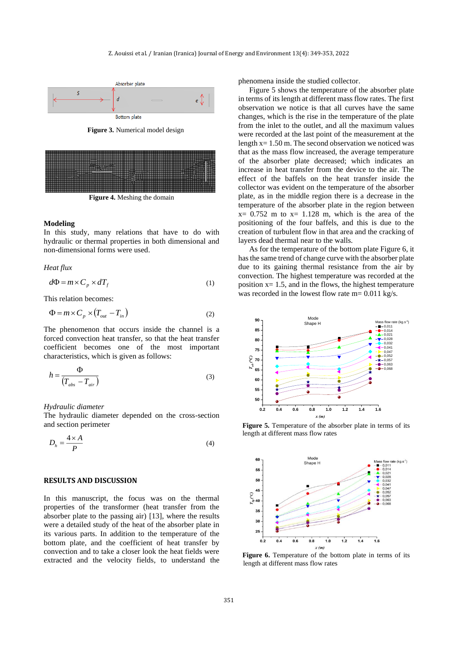

**Figure 3.** Numerical model design



**Figure 4.** Meshing the domain

#### **Modeling**

In this study, many relations that have to do with hydraulic or thermal properties in both dimensional and non-dimensional forms were used.

*Heat flux*

$$
d\Phi = m \times C_p \times dT_f \tag{1}
$$

This relation becomes:

$$
\Phi = m \times C_p \times (T_{out} - T_{in})
$$
\n(2)

The phenomenon that occurs inside the channel is a forced convection heat transfer, so that the heat transfer coefficient becomes one of the most important characteristics, which is given as follows:

$$
h = \frac{\Phi}{(T_{abs} - T_{air})}
$$
 (3)

*Hydraulic diameter*

The hydraulic diameter depended on the cross-section and section perimeter

$$
D_h = \frac{4 \times A}{P} \tag{4}
$$

## **RESULTS AND DISCUSSION**

In this manuscript, the focus was on the thermal properties of the transformer (heat transfer from the absorber plate to the passing air) [\[13\]](#page-4-5), where the results were a detailed study of the heat of the absorber plate in its various parts. In addition to the temperature of the bottom plate, and the coefficient of heat transfer by convection and to take a closer look the heat fields were extracted and the velocity fields, to understand the phenomena inside the studied collector.

Figure 5 shows the temperature of the absorber plate in terms of its length at different mass flow rates. The first observation we notice is that all curves have the same changes, which is the rise in the temperature of the plate from the inlet to the outlet, and all the maximum values were recorded at the last point of the measurement at the length x= 1.50 m. The second observation we noticed was that as the mass flow increased, the average temperature of the absorber plate decreased; which indicates an increase in heat transfer from the device to the air. The effect of the baffels on the heat transfer inside the collector was evident on the temperature of the absorber plate, as in the middle region there is a decrease in the temperature of the absorber plate in the region between  $x= 0.752$  m to  $x= 1.128$  m, which is the area of the positioning of the four baffels, and this is due to the creation of turbulent flow in that area and the cracking of layers dead thermal near to the walls.

As for the temperature of the bottom plate Figure 6, it has the same trend of change curve with the absorber plate due to its gaining thermal resistance from the air by convection. The highest temperature was recorded at the position  $x = 1.5$ , and in the flows, the highest temperature was recorded in the lowest flow rate m= 0.011 kg/s.



**Figure 5.** Temperature of the absorber plate in terms of its length at different mass flow rates



**Figure 6.** Temperature of the bottom plate in terms of its length at different mass flow rates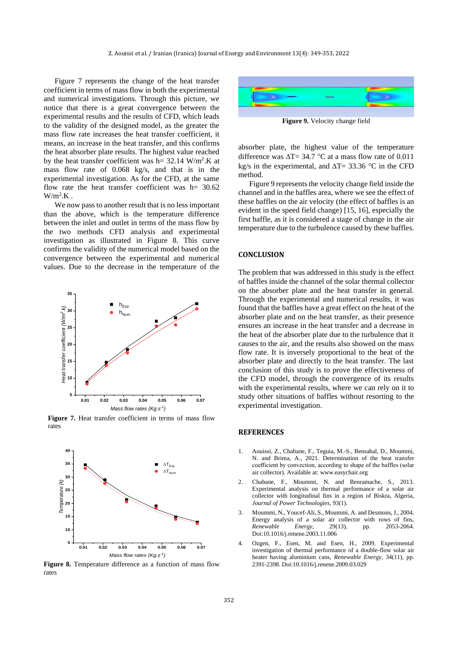Figure 7 represents the change of the heat transfer coefficient in terms of mass flow in both the experimental and numerical investigations. Through this picture, we notice that there is a great convergence between the experimental results and the results of CFD, which leads to the validity of the designed model, as the greater the mass flow rate increases the heat transfer coefficient, it means, an increase in the heat transfer, and this confirms the heat absorber plate results. The highest value reached by the heat transfer coefficient was  $h = 32.14 \text{ W/m}^2$ . K at mass flow rate of 0.068 kg/s, and that is in the experimental investigation. As for the CFD, at the same flow rate the heat transfer coefficient was  $h= 30.62$  $W/m^2$ .K.

We now pass to another result that is no less important than the above, which is the temperature difference between the inlet and outlet in terms of the mass flow by the two methods CFD analysis and experimental investigation as illustrated in Figure 8. This curve confirms the validity of the numerical model based on the convergence between the experimental and numerical values. Due to the decrease in the temperature of the



**Figure 7.** Heat transfer coefficient in terms of mass flow rates



**Figure 8.** Temperature difference as a function of mass flow rates



**Figure 9.** Velocity change field

absorber plate, the highest value of the temperature difference was  $\Delta T = 34.7$  °C at a mass flow rate of 0.011 kg/s in the experimental, and  $\Delta T = 33.36$  °C in the CFD method.

Figure 9 represents the velocity change field inside the channel and in the baffles area, where we see the effect of these baffles on the air velocity (the effect of baffles is an evident in the speed field change) [\[15,](#page-4-7) [16\]](#page-4-8), especially the first baffle, as it is considered a stage of change in the air temperature due to the turbulence caused by these baffles.

#### **CONCLUSION**

The problem that was addressed in this study is the effect of baffles inside the channel of the solar thermal collector on the absorber plate and the heat transfer in general. Through the experimental and numerical results, it was found that the baffles have a great effect on the heat of the absorber plate and on the heat transfer, as their presence ensures an increase in the heat transfer and a decrease in the heat of the absorber plate due to the turbulence that it causes to the air, and the results also showed on the mass flow rate. It is inversely proportional to the heat of the absorber plate and directly to the heat transfer. The last conclusion of this study is to prove the effectiveness of the CFD model, through the convergence of its results with the experimental results, where we can rely on it to study other situations of baffles without resorting to the experimental investigation.

#### **REFERENCES**

- <span id="page-3-0"></span>1. Aouissi, Z., Chabane, F., Teguia, M.-S., Bensahal, D., Moummi, N. and Brima, A., 2021. Determination of the heat transfer coefficient by convection, according to shape of the baffles (solar air collector). Available at: www.easychair.org
- 2. Chabane, F., Moummi, N. and Benramache, S., 2013. Experimental analysis on thermal performance of a solar air collector with longitudinal fins in a region of Biskra, Algeria, *Journal of Power Technologies,* 93(1).
- 3. Moummi, N., Youcef-Ali, S., Moummi, A. and Desmons, J., 2004. Energy analysis of a solar air collector with rows of fins,<br> *Renewable* Energy, 29(13), pp. 2053-2064. *Renewable Energy,* 29(13), pp. 2053-2064. Doi:10.1016/j.renene.2003.11.006
- 4. Ozgen, F., Esen, M. and Esen, H., 2009. Experimental investigation of thermal performance of a double-flow solar air heater having aluminium cans, *Renewable Energy,* 34(11), pp. 2391-2398. Doi:10.1016/j.renene.2009.03.029